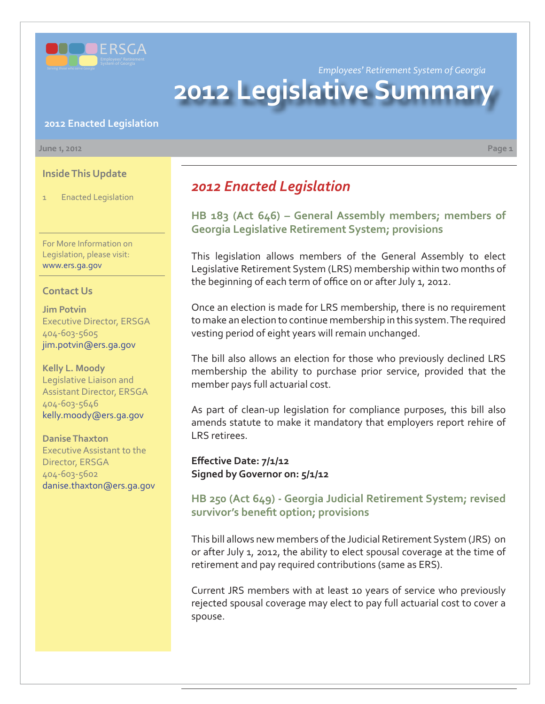

*Employees' Retirement System of Georgia*

# **2012 Legislative Summar**

#### **2012 Enacted Legislation**

#### **June 1, 2012 Page 1**

**Inside This Update**

1 Enacted Legislation

For More Information on Legislation, please visit: www.ers.ga.gov

#### **Contact Us**

**Jim Potvin** Executive Director, ERSGA 404-603-5605 jim.potvin@ers.ga.gov

**Kelly L. Moody** Legislative Liaison and Assistant Director, ERSGA 404-603-5646 kelly.moody@ers.ga.gov

**Danise Thaxton** Executive Assistant to the Director, ERSGA 404-603-5602 danise.thaxton@ers.ga.gov

# *2012 Enacted Legislation*

**[HB 183 \(Act 646\) – General Assembly members; members of](http://www.legis.ga.gov/legislation/en-US/Display/20112012/HB/183) Georgia Legislative Retirement System; provisions**

This legislation allows members of the General Assembly to elect Legislative Retirement System (LRS) membership within two months of the beginning of each term of office on or after July 1, 2012.

Once an election is made for LRS membership, there is no requirement to make an election to continue membership in this system. The required vesting period of eight years will remain unchanged.

The bill also allows an election for those who previously declined LRS membership the ability to purchase prior service, provided that the member pays full actuarial cost.

As part of clean-up legislation for compliance purposes, this bill also amends statute to make it mandatory that employers report rehire of LRS retirees.

**Eff ective Date: 7/1/12 Signed by Governor on: 5/1/12**

#### **[HB 250 \(Act 649\) - Georgia Judicial Retirement System; revised](http://www.legis.ga.gov/legislation/en-US/Display/20112012/HB/250)**  survivor's benefit option; provisions

This bill allows new members of the Judicial Retirement System (JRS) on or after July 1, 2012, the ability to elect spousal coverage at the time of retirement and pay required contributions (same as ERS).

Current JRS members with at least 10 years of service who previously rejected spousal coverage may elect to pay full actuarial cost to cover a spouse.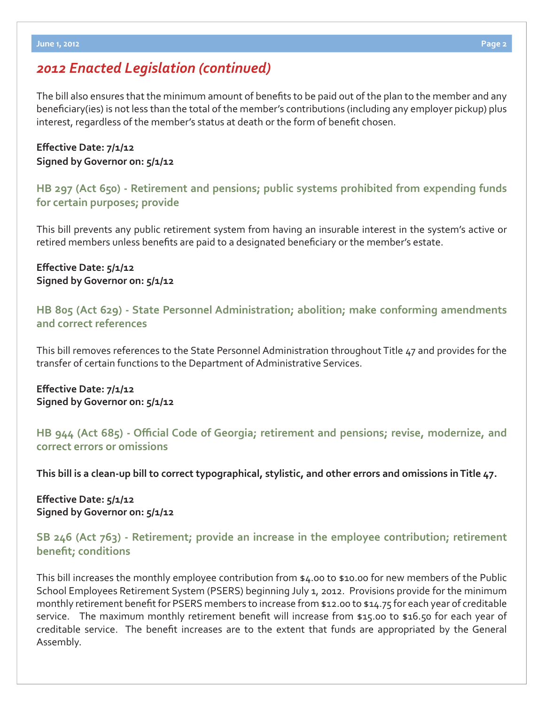## *2012 Enacted Legislation (continued)*

The bill also ensures that the minimum amount of benefits to be paid out of the plan to the member and any beneficiary(ies) is not less than the total of the member's contributions (including any employer pickup) plus interest, regardless of the member's status at death or the form of benefit chosen.

#### **Eff ective Date: 7/1/12 Signed by Governor on: 5/1/12**

**[HB 297 \(Act 650\) - Retirement and pensions; public systems prohibited from expending funds](http://www.legis.ga.gov/legislation/en-US/Display/20112012/HB/297)  for certain purposes; provide**

This bill prevents any public retirement system from having an insurable interest in the system's active or retired members unless benefits are paid to a designated beneficiary or the member's estate.

#### **Eff ective Date: 5/1/12 Signed by Governor on: 5/1/12**

**[HB 805 \(Act 629\) - State Personnel Administration; abolition; make conforming amendments](http://www.legis.ga.gov/legislation/en-US/Display/20112012/HB/805)  and correct references**

This bill removes references to the State Personnel Administration throughout Title 47 and provides for the transfer of certain functions to the Department of Administrative Services.

**Eff ective Date: 7/1/12 Signed by Governor on: 5/1/12**

## **HB 944 (Act 685) - Offi [cial Code of Georgia; retirement and pensions; revise, modernize, and](http://www.legis.ga.gov/legislation/en-US/Display/20112012/HB/944)  correct errors or omissions**

**This bill is a clean-up bill to correct typographical, stylistic, and other errors and omissions in Title 47.**

**Eff ective Date: 5/1/12 Signed by Governor on: 5/1/12**

#### **[SB 246 \(Act 763\) - Retirement; provide an increase in the employee contribution; retirement](http://www.legis.ga.gov/legislation/en-US/Display/20112012/SB/246)  benefit; conditions**

This bill increases the monthly employee contribution from \$4.00 to \$10.00 for new members of the Public School Employees Retirement System (PSERS) beginning July 1, 2012. Provisions provide for the minimum monthly retirement benefit for PSERS members to increase from \$12.00 to \$14.75 for each year of creditable service. The maximum monthly retirement benefit will increase from \$15.00 to \$16.50 for each year of creditable service. The benefit increases are to the extent that funds are appropriated by the General Assembly.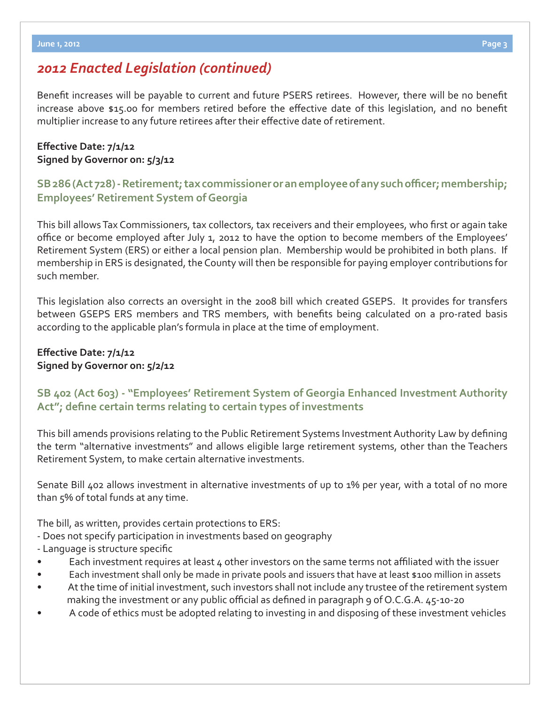## *2012 Enacted Legislation (continued)*

Benefit increases will be payable to current and future PSERS retirees. However, there will be no benefit increase above \$15.00 for members retired before the effective date of this legislation, and no benefit multiplier increase to any future retirees after their effective date of retirement.

#### **Eff ective Date: 7/1/12 Signed by Governor on: 5/3/12**

## **[SB 286 \(Act 728\) - Retirement; tax commissioner or an employee of any such o](http://www.legis.ga.gov/legislation/en-US/Display/20112012/SB/286)ffi cer; membership; Employees' Retirement System of Georgia**

This bill allows Tax Commissioners, tax collectors, tax receivers and their employees, who first or again take office or become employed after July 1, 2012 to have the option to become members of the Employees' Retirement System (ERS) or either a local pension plan. Membership would be prohibited in both plans. If membership in ERS is designated, the County will then be responsible for paying employer contributions for such member.

This legislation also corrects an oversight in the 2008 bill which created GSEPS. It provides for transfers between GSEPS ERS members and TRS members, with benefits being calculated on a pro-rated basis according to the applicable plan's formula in place at the time of employment.

#### **Eff ective Date: 7/1/12 Signed by Governor on: 5/2/12**

## **[SB 402 \(Act 603\) - "Employees' Retirement System of Georgia Enhanced Investment Authority](http://www.legis.ga.gov/legislation/en-US/Display/20112012/SB/402)**  Act"; define certain terms relating to certain types of investments

This bill amends provisions relating to the Public Retirement Systems Investment Authority Law by defining the term "alternative investments" and allows eligible large retirement systems, other than the Teachers Retirement System, to make certain alternative investments.

Senate Bill 402 allows investment in alternative investments of up to 1% per year, with a total of no more than 5% of total funds at any time.

The bill, as written, provides certain protections to ERS:

- Does not specify participation in investments based on geography
- Language is structure specific
- Each investment requires at least 4 other investors on the same terms not affiliated with the issuer
- Each investment shall only be made in private pools and issuers that have at least \$100 million in assets
- At the time of initial investment, such investors shall not include any trustee of the retirement system making the investment or any public official as defined in paragraph  $9$  of O.C.G.A.  $45$ -10-20
- A code of ethics must be adopted relating to investing in and disposing of these investment vehicles